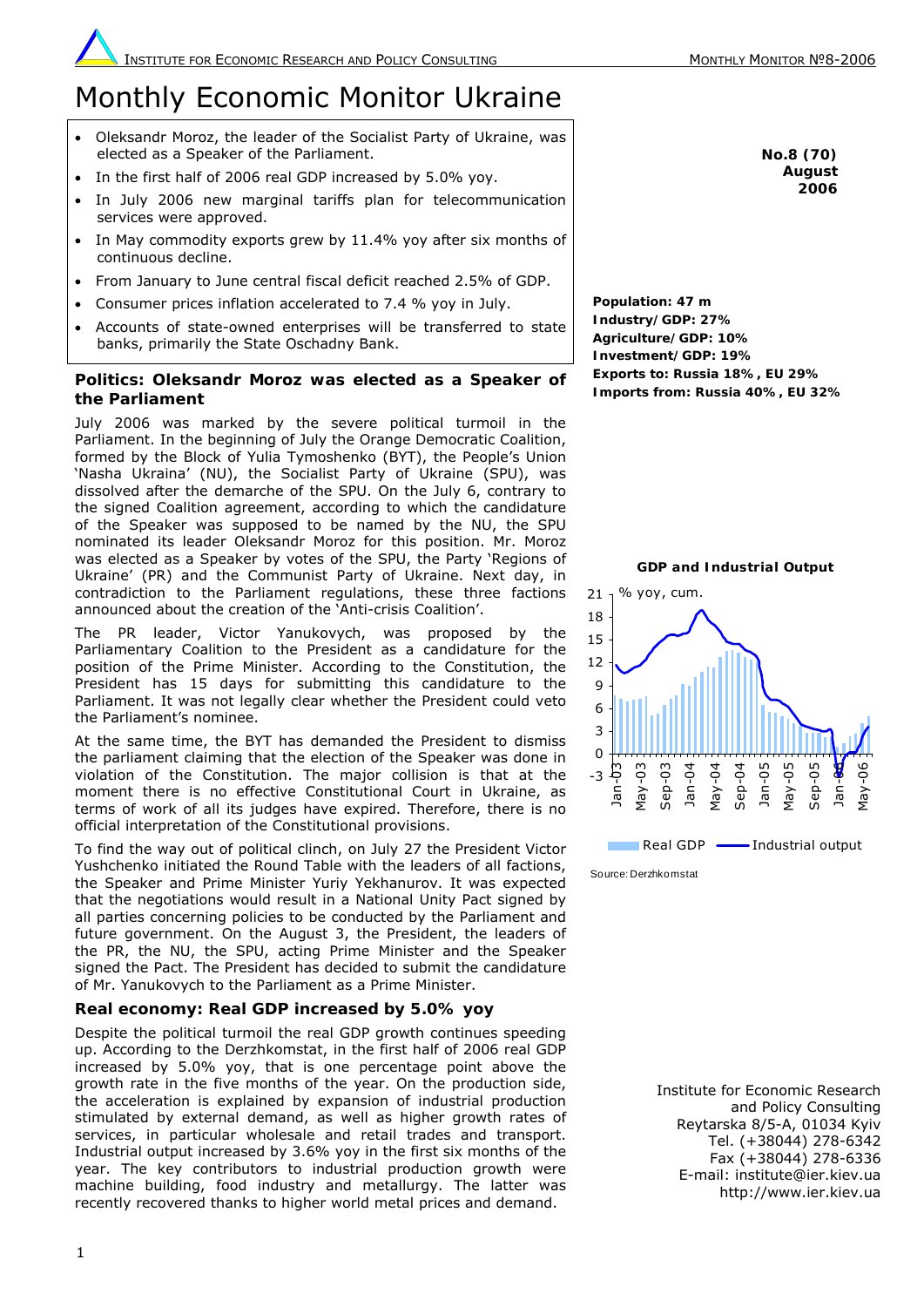# Monthly Economic Monitor Ukraine

- Oleksandr Moroz, the leader of the Socialist Party of Ukraine, was elected as a Speaker of the Parliament.
- In the first half of 2006 real GDP increased by 5.0% yoy.
- In July 2006 new marginal tariffs plan for telecommunication services were approved.
- In May commodity exports grew by 11.4% yoy after six months of continuous decline.
- From January to June central fiscal deficit reached 2.5% of GDP.
- Consumer prices inflation accelerated to 7.4 % yoy in July.
- Accounts of state-owned enterprises will be transferred to state banks, primarily the State Oschadny Bank.

## **Politics: Oleksandr Moroz was elected as a Speaker of the Parliament**

July 2006 was marked by the severe political turmoil in the Parliament. In the beginning of July the Orange Democratic Coalition, formed by the Block of Yulia Tymoshenko (BYT), the People's Union 'Nasha Ukraina' (NU), the Socialist Party of Ukraine (SPU), was dissolved after the demarche of the SPU. On the July 6, contrary to the signed Coalition agreement, according to which the candidature of the Speaker was supposed to be named by the NU, the SPU nominated its leader Oleksandr Moroz for this position. Mr. Moroz was elected as a Speaker by votes of the SPU, the Party 'Regions of Ukraine' (PR) and the Communist Party of Ukraine. Next day, in contradiction to the Parliament regulations, these three factions announced about the creation of the 'Anti-crisis Coalition'.

The PR leader, Victor Yanukovych, was proposed by the Parliamentary Coalition to the President as a candidature for the position of the Prime Minister. According to the Constitution, the President has 15 days for submitting this candidature to the Parliament. It was not legally clear whether the President could veto the Parliament's nominee.

At the same time, the BYT has demanded the President to dismiss the parliament claiming that the election of the Speaker was done in violation of the Constitution. The major collision is that at the moment there is no effective Constitutional Court in Ukraine, as terms of work of all its judges have expired. Therefore, there is no official interpretation of the Constitutional provisions.

To find the way out of political clinch, on July 27 the President Victor Yushchenko initiated the Round Table with the leaders of all factions, the Speaker and Prime Minister Yuriy Yekhanurov. It was expected that the negotiations would result in a National Unity Pact signed by all parties concerning policies to be conducted by the Parliament and future government. On the August 3, the President, the leaders of the PR, the NU, the SPU, acting Prime Minister and the Speaker signed the Pact. The President has decided to submit the candidature of Mr. Yanukovych to the Parliament as a Prime Minister.

# **Real economy: Real GDP increased by 5.0% yoy**

Despite the political turmoil the real GDP growth continues speeding up. According to the Derzhkomstat, in the first half of 2006 real GDP increased by 5.0% yoy, that is one percentage point above the growth rate in the five months of the year. On the production side, the acceleration is explained by expansion of industrial production stimulated by external demand, as well as higher growth rates of services, in particular wholesale and retail trades and transport. Industrial output increased by 3.6% yoy in the first six months of the year. The key contributors to industrial production growth were machine building, food industry and metallurgy. The latter was recently recovered thanks to higher world metal prices and demand.

**No.8 (70) August 2006**

**Population: 47 m Industry/GDP: 27% Agriculture/GDP: 10% Investment/GDP: 19% Exports to: Russia 18%, EU 29% Imports from: Russia 40%, EU 32%** 



Institute for Economic Research and Policy Consulting Reytarska 8/5-A, 01034 Kyiv Tel. (+38044) 278-6342 Fax (+38044) 278-6336 E-mail: institute@ier.kiev.ua http://www.ier.kiev.ua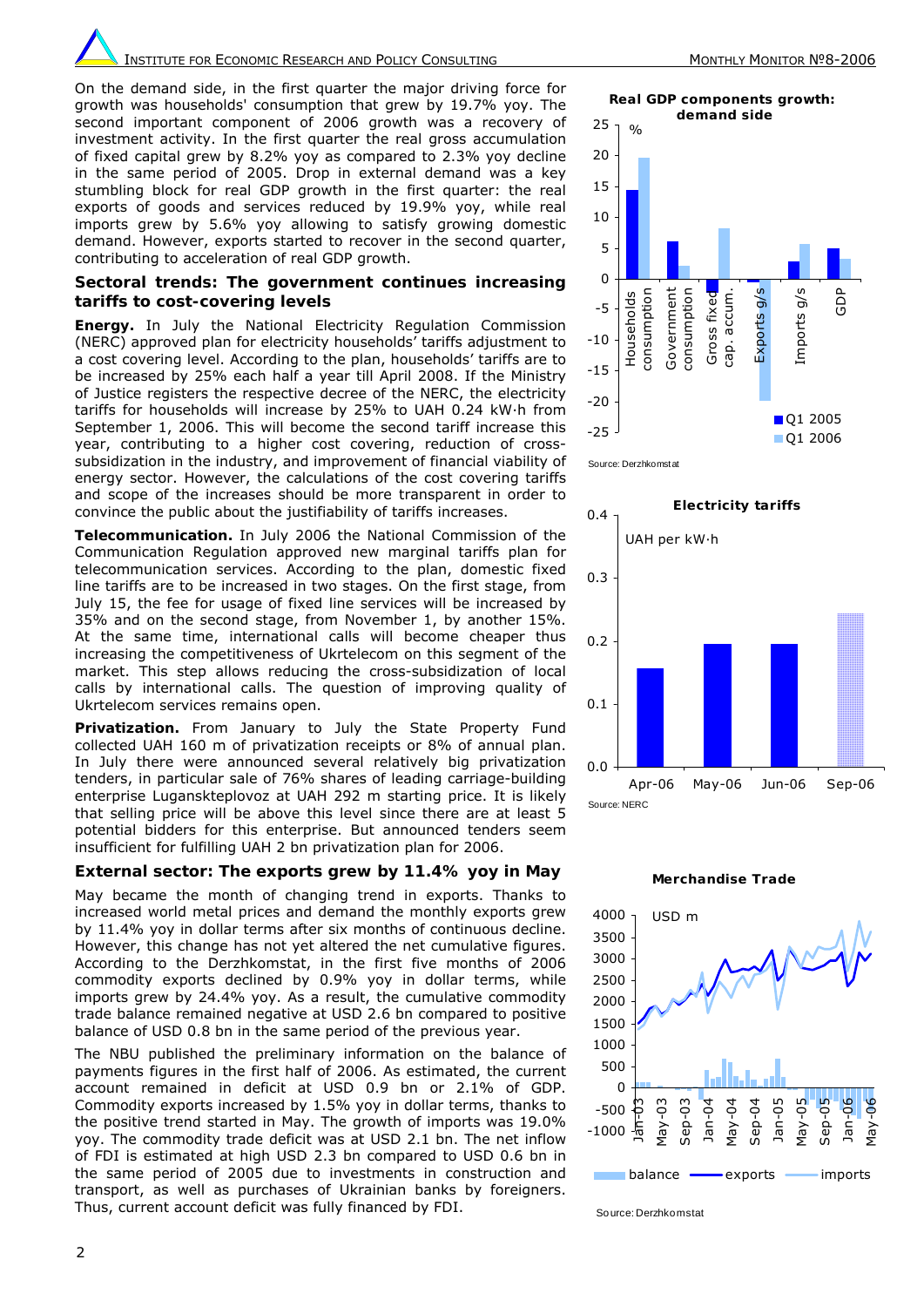**INSTITUTE FOR ECONOMIC RESEARCH AND POLICY CONSULTING MONE AND MONTHLY MONITOR Nº8-2006** 

On the demand side, in the first quarter the major driving force for growth was households' consumption that grew by 19.7% yoy. The second important component of 2006 growth was a recovery of investment activity. In the first quarter the real gross accumulation of fixed capital grew by 8.2% yoy as compared to 2.3% yoy decline in the same period of 2005. Drop in external demand was a key stumbling block for real GDP growth in the first quarter: the real exports of goods and services reduced by 19.9% yoy, while real imports grew by 5.6% yoy allowing to satisfy growing domestic demand. However, exports started to recover in the second quarter, contributing to acceleration of real GDP growth.

### **Sectoral trends: The government continues increasing tariffs to cost-covering levels**

*Energy***.** In July the National Electricity Regulation Commission (NERC) approved plan for electricity households' tariffs adjustment to a cost covering level. According to the plan, households' tariffs are to be increased by 25% each half a year till April 2008. If the Ministry of Justice registers the respective decree of the NERC, the electricity tariffs for households will increase by 25% to UAH 0.24 kW·h from September 1, 2006. This will become the second tariff increase this year, contributing to a higher cost covering, reduction of crosssubsidization in the industry, and improvement of financial viability of energy sector. However, the calculations of the cost covering tariffs and scope of the increases should be more transparent in order to convince the public about the justifiability of tariffs increases.

*Telecommunication.* In July 2006 the National Commission of the Communication Regulation approved new marginal tariffs plan for telecommunication services. According to the plan, domestic fixed line tariffs are to be increased in two stages. On the first stage, from July 15, the fee for usage of fixed line services will be increased by 35% and on the second stage, from November 1, by another 15%. At the same time, international calls will become cheaper thus increasing the competitiveness of Ukrtelecom on this segment of the market. This step allows reducing the cross-subsidization of local calls by international calls. The question of improving quality of Ukrtelecom services remains open.

*Privatization***.** From January to July the State Property Fund collected UAH 160 m of privatization receipts or 8% of annual plan. In July there were announced several relatively big privatization tenders, in particular sale of 76% shares of leading carriage-building enterprise Luganskteplovoz at UAH 292 m starting price. It is likely that selling price will be above this level since there are at least 5 potential bidders for this enterprise. But announced tenders seem insufficient for fulfilling UAH 2 bn privatization plan for 2006.

# **External sector: The exports grew by 11.4% yoy in May**

May became the month of changing trend in exports. Thanks to increased world metal prices and demand the monthly exports grew by 11.4% yoy in dollar terms after six months of continuous decline. However, this change has not yet altered the net cumulative figures. According to the Derzhkomstat, in the first five months of 2006 commodity exports declined by 0.9% yoy in dollar terms, while imports grew by 24.4% yoy. As a result, the cumulative commodity trade balance remained negative at USD 2.6 bn compared to positive balance of USD 0.8 bn in the same period of the previous year.

The NBU published the preliminary information on the balance of payments figures in the first half of 2006. As estimated, the current account remained in deficit at USD 0.9 bn or 2.1% of GDP. Commodity exports increased by 1.5% yoy in dollar terms, thanks to the positive trend started in May. The growth of imports was 19.0% yoy. The commodity trade deficit was at USD 2.1 bn. The net inflow of FDI is estimated at high USD 2.3 bn compared to USD 0.6 bn in the same period of 2005 due to investments in construction and transport, as well as purchases of Ukrainian banks by foreigners. Thus, current account deficit was fully financed by FDI.

**Real GDP components growth:**

 **demand side** 25  $\frac{1}{2}$ 20 15 10 5 0  $\frac{5}{10}$ GDP Government consumption consumption Government  $2\sqrt{5}$  sports Households consumption consumption cap. accum. cap. accum. Exports g/s Imports g/s Gross fixed Gross fixed Households -5 Imports -10 -15 -20 ■Q1 2005 -25

Q1 2006







Source: Derzhkomstat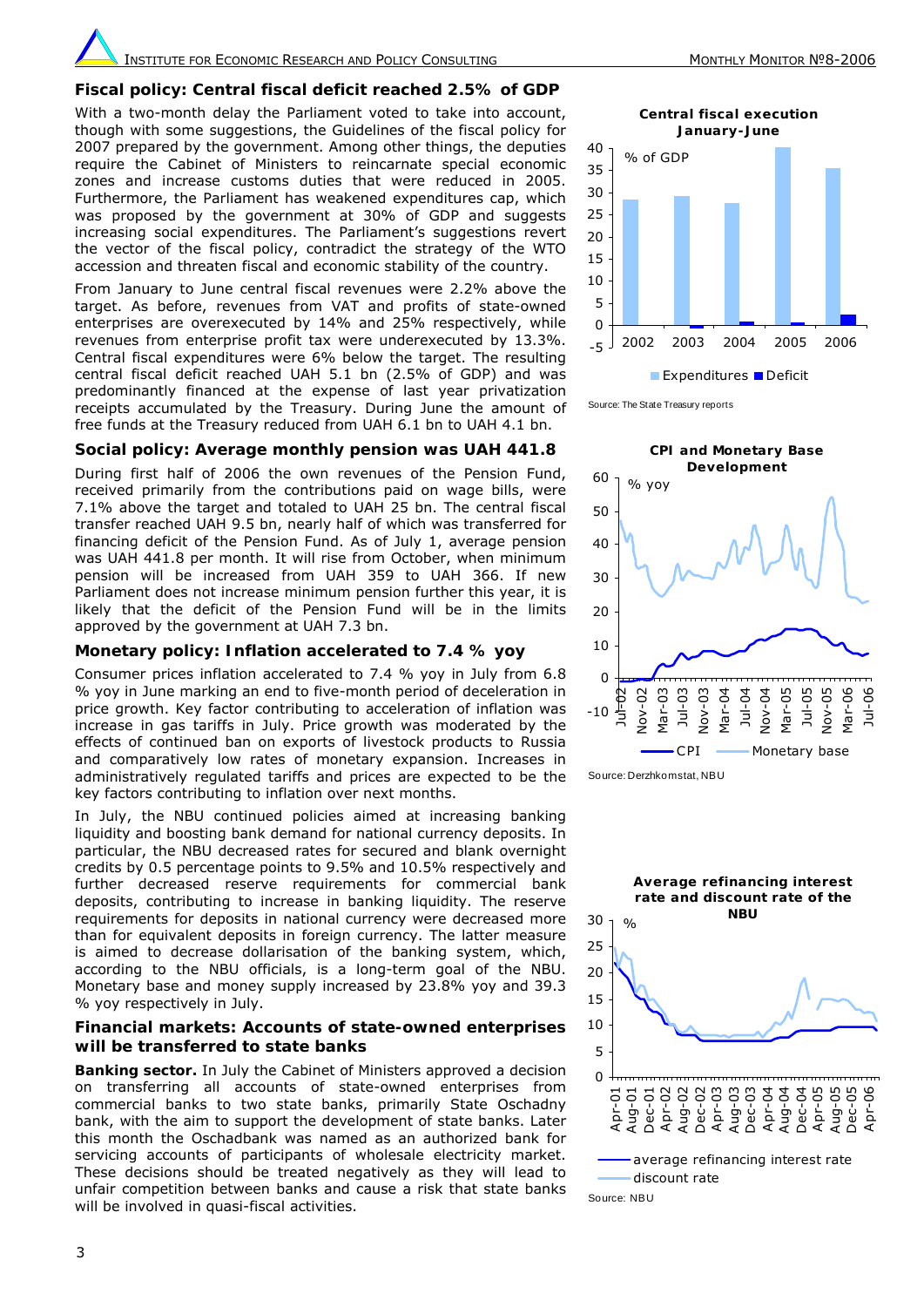**INSTITUTE FOR ECONOMIC RESEARCH AND POLICY CONSULTING MONE AND MONTHLY MONITOR Nº8-2006** 

#### **Fiscal policy: Central fiscal deficit reached 2.5% of GDP**

With a two-month delay the Parliament voted to take into account. though with some suggestions, the Guidelines of the fiscal policy for 2007 prepared by the government. Among other things, the deputies require the Cabinet of Ministers to reincarnate special economic zones and increase customs duties that were reduced in 2005. Furthermore, the Parliament has weakened expenditures cap, which was proposed by the government at 30% of GDP and suggests increasing social expenditures. The Parliament's suggestions revert the vector of the fiscal policy, contradict the strategy of the WTO accession and threaten fiscal and economic stability of the country.

From January to June central fiscal revenues were 2.2% above the target. As before, revenues from VAT and profits of state-owned enterprises are overexecuted by 14% and 25% respectively, while revenues from enterprise profit tax were underexecuted by 13.3%. Central fiscal expenditures were 6% below the target. The resulting central fiscal deficit reached UAH 5.1 bn (2.5% of GDP) and was predominantly financed at the expense of last year privatization receipts accumulated by the Treasury. During June the amount of free funds at the Treasury reduced from UAH 6.1 bn to UAH 4.1 bn.

#### **Social policy: Average monthly pension was UAH 441.8**

During first half of 2006 the own revenues of the Pension Fund, received primarily from the contributions paid on wage bills, were 7.1% above the target and totaled to UAH 25 bn. The central fiscal transfer reached UAH 9.5 bn, nearly half of which was transferred for financing deficit of the Pension Fund. As of July 1, average pension was UAH 441.8 per month. It will rise from October, when minimum pension will be increased from UAH 359 to UAH 366. If new Parliament does not increase minimum pension further this year, it is likely that the deficit of the Pension Fund will be in the limits approved by the government at UAH 7.3 bn.

#### **Monetary policy: Inflation accelerated to 7.4 % yoy**

Consumer prices inflation accelerated to 7.4 % yoy in July from 6.8 % yoy in June marking an end to five-month period of deceleration in price growth. Key factor contributing to acceleration of inflation was increase in gas tariffs in July. Price growth was moderated by the effects of continued ban on exports of livestock products to Russia and comparatively low rates of monetary expansion. Increases in administratively regulated tariffs and prices are expected to be the key factors contributing to inflation over next months.

In July, the NBU continued policies aimed at increasing banking liquidity and boosting bank demand for national currency deposits. In particular, the NBU decreased rates for secured and blank overnight credits by 0.5 percentage points to 9.5% and 10.5% respectively and further decreased reserve requirements for commercial bank deposits, contributing to increase in banking liquidity. The reserve requirements for deposits in national currency were decreased more than for equivalent deposits in foreign currency. The latter measure is aimed to decrease dollarisation of the banking system, which, according to the NBU officials, is a long-term goal of the NBU. Monetary base and money supply increased by 23.8% yoy and 39.3 % yoy respectively in July.

## **Financial markets: Accounts of state-owned enterprises will be transferred to state banks**

*Banking sector.* In July the Cabinet of Ministers approved a decision on transferring all accounts of state-owned enterprises from commercial banks to two state banks, primarily State Oschadny bank, with the aim to support the development of state banks. Later this month the Oschadbank was named as an authorized bank for servicing accounts of participants of wholesale electricity market. These decisions should be treated negatively as they will lead to unfair competition between banks and cause a risk that state banks will be involved in quasi-fiscal activities.



**Expenditures Deficit** 

Source: The State Treasury reports



Source: Derzhkomstat, NBU